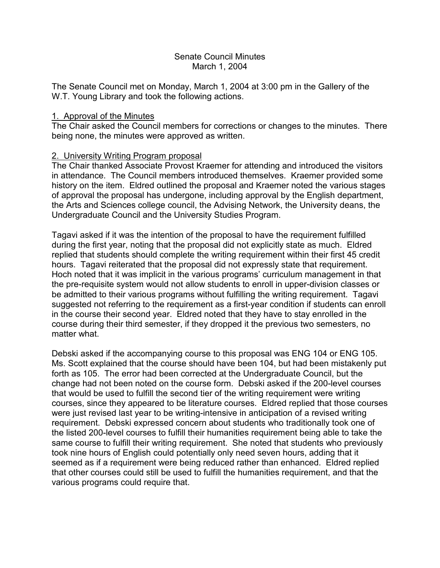# Senate Council Minutes March 1, 2004

The Senate Council met on Monday, March 1, 2004 at 3:00 pm in the Gallery of the W.T. Young Library and took the following actions.

# 1. Approval of the Minutes

The Chair asked the Council members for corrections or changes to the minutes. There being none, the minutes were approved as written.

# 2. University Writing Program proposal

The Chair thanked Associate Provost Kraemer for attending and introduced the visitors in attendance. The Council members introduced themselves. Kraemer provided some history on the item. Eldred outlined the proposal and Kraemer noted the various stages of approval the proposal has undergone, including approval by the English department, the Arts and Sciences college council, the Advising Network, the University deans, the Undergraduate Council and the University Studies Program.

Tagavi asked if it was the intention of the proposal to have the requirement fulfilled during the first year, noting that the proposal did not explicitly state as much. Eldred replied that students should complete the writing requirement within their first 45 credit hours. Tagavi reiterated that the proposal did not expressly state that requirement. Hoch noted that it was implicit in the various programs' curriculum management in that the pre-requisite system would not allow students to enroll in upper-division classes or be admitted to their various programs without fulfilling the writing requirement. Tagavi suggested not referring to the requirement as a first-year condition if students can enroll in the course their second year. Eldred noted that they have to stay enrolled in the course during their third semester, if they dropped it the previous two semesters, no matter what.

Debski asked if the accompanying course to this proposal was ENG 104 or ENG 105. Ms. Scott explained that the course should have been 104, but had been mistakenly put forth as 105. The error had been corrected at the Undergraduate Council, but the change had not been noted on the course form. Debski asked if the 200-level courses that would be used to fulfill the second tier of the writing requirement were writing courses, since they appeared to be literature courses. Eldred replied that those courses were just revised last year to be writing-intensive in anticipation of a revised writing requirement. Debski expressed concern about students who traditionally took one of the listed 200-level courses to fulfill their humanities requirement being able to take the same course to fulfill their writing requirement. She noted that students who previously took nine hours of English could potentially only need seven hours, adding that it seemed as if a requirement were being reduced rather than enhanced. Eldred replied that other courses could still be used to fulfill the humanities requirement, and that the various programs could require that.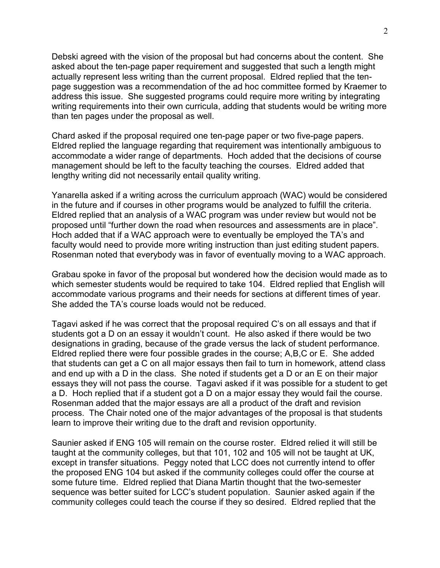Debski agreed with the vision of the proposal but had concerns about the content. She asked about the ten-page paper requirement and suggested that such a length might actually represent less writing than the current proposal. Eldred replied that the tenpage suggestion was a recommendation of the ad hoc committee formed by Kraemer to address this issue. She suggested programs could require more writing by integrating writing requirements into their own curricula, adding that students would be writing more than ten pages under the proposal as well.

Chard asked if the proposal required one ten-page paper or two five-page papers. Eldred replied the language regarding that requirement was intentionally ambiguous to accommodate a wider range of departments. Hoch added that the decisions of course management should be left to the faculty teaching the courses. Eldred added that lengthy writing did not necessarily entail quality writing.

Yanarella asked if a writing across the curriculum approach (WAC) would be considered in the future and if courses in other programs would be analyzed to fulfill the criteria. Eldred replied that an analysis of a WAC program was under review but would not be proposed until "further down the road when resources and assessments are in place". Hoch added that if a WAC approach were to eventually be employed the TA's and faculty would need to provide more writing instruction than just editing student papers. Rosenman noted that everybody was in favor of eventually moving to a WAC approach.

Grabau spoke in favor of the proposal but wondered how the decision would made as to which semester students would be required to take 104. Eldred replied that English will accommodate various programs and their needs for sections at different times of year. She added the TA's course loads would not be reduced.

Tagavi asked if he was correct that the proposal required C's on all essays and that if students got a D on an essay it wouldn't count. He also asked if there would be two designations in grading, because of the grade versus the lack of student performance. Eldred replied there were four possible grades in the course; A,B,C or E. She added that students can get a C on all major essays then fail to turn in homework, attend class and end up with a D in the class. She noted if students get a D or an E on their major essays they will not pass the course. Tagavi asked if it was possible for a student to get a D. Hoch replied that if a student got a D on a major essay they would fail the course. Rosenman added that the major essays are all a product of the draft and revision process. The Chair noted one of the major advantages of the proposal is that students learn to improve their writing due to the draft and revision opportunity.

Saunier asked if ENG 105 will remain on the course roster. Eldred relied it will still be taught at the community colleges, but that 101, 102 and 105 will not be taught at UK, except in transfer situations. Peggy noted that LCC does not currently intend to offer the proposed ENG 104 but asked if the community colleges could offer the course at some future time. Eldred replied that Diana Martin thought that the two-semester sequence was better suited for LCC's student population. Saunier asked again if the community colleges could teach the course if they so desired. Eldred replied that the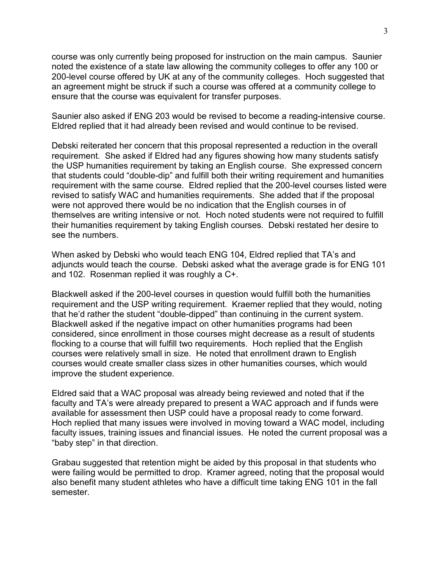course was only currently being proposed for instruction on the main campus. Saunier noted the existence of a state law allowing the community colleges to offer any 100 or 200-level course offered by UK at any of the community colleges. Hoch suggested that an agreement might be struck if such a course was offered at a community college to ensure that the course was equivalent for transfer purposes.

Saunier also asked if ENG 203 would be revised to become a reading-intensive course. Eldred replied that it had already been revised and would continue to be revised.

Debski reiterated her concern that this proposal represented a reduction in the overall requirement. She asked if Eldred had any figures showing how many students satisfy the USP humanities requirement by taking an English course. She expressed concern that students could "double-dip" and fulfill both their writing requirement and humanities requirement with the same course. Eldred replied that the 200-level courses listed were revised to satisfy WAC and humanities requirements. She added that if the proposal were not approved there would be no indication that the English courses in of themselves are writing intensive or not. Hoch noted students were not required to fulfill their humanities requirement by taking English courses. Debski restated her desire to see the numbers.

When asked by Debski who would teach ENG 104, Eldred replied that TA's and adjuncts would teach the course. Debski asked what the average grade is for ENG 101 and 102. Rosenman replied it was roughly a C+.

Blackwell asked if the 200-level courses in question would fulfill both the humanities requirement and the USP writing requirement. Kraemer replied that they would, noting that he'd rather the student "double-dipped" than continuing in the current system. Blackwell asked if the negative impact on other humanities programs had been considered, since enrollment in those courses might decrease as a result of students flocking to a course that will fulfill two requirements. Hoch replied that the English courses were relatively small in size. He noted that enrollment drawn to English courses would create smaller class sizes in other humanities courses, which would improve the student experience.

Eldred said that a WAC proposal was already being reviewed and noted that if the faculty and TA's were already prepared to present a WAC approach and if funds were available for assessment then USP could have a proposal ready to come forward. Hoch replied that many issues were involved in moving toward a WAC model, including faculty issues, training issues and financial issues. He noted the current proposal was a "baby step" in that direction.

Grabau suggested that retention might be aided by this proposal in that students who were failing would be permitted to drop. Kramer agreed, noting that the proposal would also benefit many student athletes who have a difficult time taking ENG 101 in the fall semester.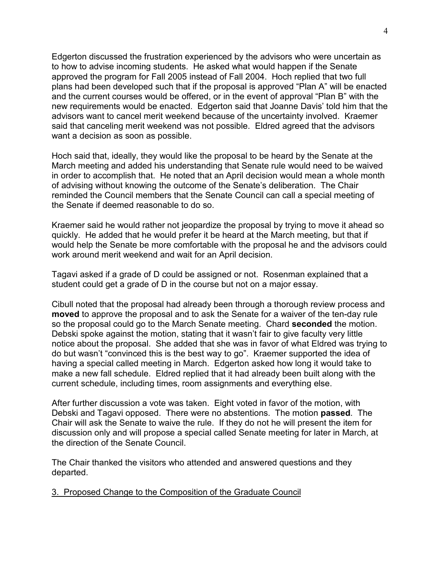Edgerton discussed the frustration experienced by the advisors who were uncertain as to how to advise incoming students. He asked what would happen if the Senate approved the program for Fall 2005 instead of Fall 2004. Hoch replied that two full plans had been developed such that if the proposal is approved "Plan A" will be enacted and the current courses would be offered, or in the event of approval "Plan B" with the new requirements would be enacted. Edgerton said that Joanne Davis' told him that the advisors want to cancel merit weekend because of the uncertainty involved. Kraemer said that canceling merit weekend was not possible. Eldred agreed that the advisors want a decision as soon as possible.

Hoch said that, ideally, they would like the proposal to be heard by the Senate at the March meeting and added his understanding that Senate rule would need to be waived in order to accomplish that. He noted that an April decision would mean a whole month of advising without knowing the outcome of the Senate's deliberation. The Chair reminded the Council members that the Senate Council can call a special meeting of the Senate if deemed reasonable to do so.

Kraemer said he would rather not jeopardize the proposal by trying to move it ahead so quickly. He added that he would prefer it be heard at the March meeting, but that if would help the Senate be more comfortable with the proposal he and the advisors could work around merit weekend and wait for an April decision.

Tagavi asked if a grade of D could be assigned or not. Rosenman explained that a student could get a grade of D in the course but not on a major essay.

Cibull noted that the proposal had already been through a thorough review process and **moved** to approve the proposal and to ask the Senate for a waiver of the ten-day rule so the proposal could go to the March Senate meeting. Chard **seconded** the motion. Debski spoke against the motion, stating that it wasn't fair to give faculty very little notice about the proposal. She added that she was in favor of what Eldred was trying to do but wasn't "convinced this is the best way to go". Kraemer supported the idea of having a special called meeting in March. Edgerton asked how long it would take to make a new fall schedule. Eldred replied that it had already been built along with the current schedule, including times, room assignments and everything else.

After further discussion a vote was taken. Eight voted in favor of the motion, with Debski and Tagavi opposed. There were no abstentions. The motion **passed**. The Chair will ask the Senate to waive the rule. If they do not he will present the item for discussion only and will propose a special called Senate meeting for later in March, at the direction of the Senate Council.

The Chair thanked the visitors who attended and answered questions and they departed.

3. Proposed Change to the Composition of the Graduate Council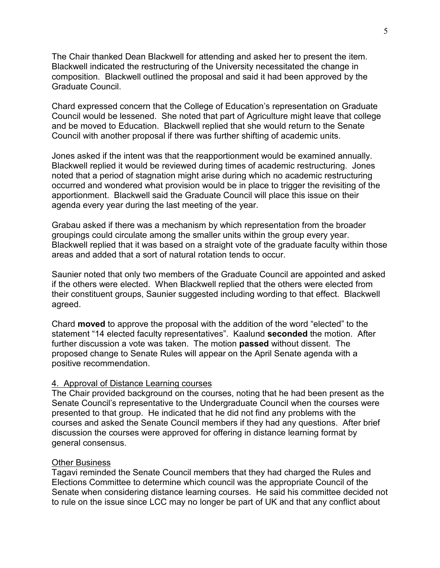The Chair thanked Dean Blackwell for attending and asked her to present the item. Blackwell indicated the restructuring of the University necessitated the change in composition. Blackwell outlined the proposal and said it had been approved by the Graduate Council.

Chard expressed concern that the College of Education's representation on Graduate Council would be lessened. She noted that part of Agriculture might leave that college and be moved to Education. Blackwell replied that she would return to the Senate Council with another proposal if there was further shifting of academic units.

Jones asked if the intent was that the reapportionment would be examined annually. Blackwell replied it would be reviewed during times of academic restructuring. Jones noted that a period of stagnation might arise during which no academic restructuring occurred and wondered what provision would be in place to trigger the revisiting of the apportionment. Blackwell said the Graduate Council will place this issue on their agenda every year during the last meeting of the year.

Grabau asked if there was a mechanism by which representation from the broader groupings could circulate among the smaller units within the group every year. Blackwell replied that it was based on a straight vote of the graduate faculty within those areas and added that a sort of natural rotation tends to occur.

Saunier noted that only two members of the Graduate Council are appointed and asked if the others were elected. When Blackwell replied that the others were elected from their constituent groups, Saunier suggested including wording to that effect. Blackwell agreed.

Chard **moved** to approve the proposal with the addition of the word "elected" to the statement "14 elected faculty representatives". Kaalund **seconded** the motion. After further discussion a vote was taken. The motion **passed** without dissent. The proposed change to Senate Rules will appear on the April Senate agenda with a positive recommendation.

#### 4. Approval of Distance Learning courses

The Chair provided background on the courses, noting that he had been present as the Senate Council's representative to the Undergraduate Council when the courses were presented to that group. He indicated that he did not find any problems with the courses and asked the Senate Council members if they had any questions. After brief discussion the courses were approved for offering in distance learning format by general consensus.

#### Other Business

Tagavi reminded the Senate Council members that they had charged the Rules and Elections Committee to determine which council was the appropriate Council of the Senate when considering distance learning courses. He said his committee decided not to rule on the issue since LCC may no longer be part of UK and that any conflict about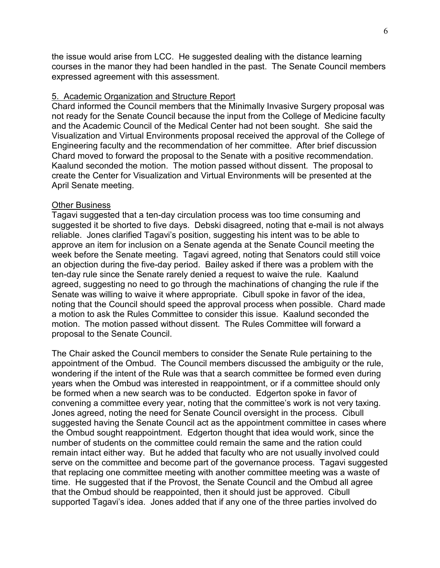the issue would arise from LCC. He suggested dealing with the distance learning courses in the manor they had been handled in the past. The Senate Council members expressed agreement with this assessment.

# 5. Academic Organization and Structure Report

Chard informed the Council members that the Minimally Invasive Surgery proposal was not ready for the Senate Council because the input from the College of Medicine faculty and the Academic Council of the Medical Center had not been sought. She said the Visualization and Virtual Environments proposal received the approval of the College of Engineering faculty and the recommendation of her committee. After brief discussion Chard moved to forward the proposal to the Senate with a positive recommendation. Kaalund seconded the motion. The motion passed without dissent. The proposal to create the Center for Visualization and Virtual Environments will be presented at the April Senate meeting.

### Other Business

Tagavi suggested that a ten-day circulation process was too time consuming and suggested it be shorted to five days. Debski disagreed, noting that e-mail is not always reliable. Jones clarified Tagavi's position, suggesting his intent was to be able to approve an item for inclusion on a Senate agenda at the Senate Council meeting the week before the Senate meeting. Tagavi agreed, noting that Senators could still voice an objection during the five-day period. Bailey asked if there was a problem with the ten-day rule since the Senate rarely denied a request to waive the rule. Kaalund agreed, suggesting no need to go through the machinations of changing the rule if the Senate was willing to waive it where appropriate. Cibull spoke in favor of the idea, noting that the Council should speed the approval process when possible. Chard made a motion to ask the Rules Committee to consider this issue. Kaalund seconded the motion. The motion passed without dissent. The Rules Committee will forward a proposal to the Senate Council.

The Chair asked the Council members to consider the Senate Rule pertaining to the appointment of the Ombud. The Council members discussed the ambiguity or the rule, wondering if the intent of the Rule was that a search committee be formed even during years when the Ombud was interested in reappointment, or if a committee should only be formed when a new search was to be conducted. Edgerton spoke in favor of convening a committee every year, noting that the committee's work is not very taxing. Jones agreed, noting the need for Senate Council oversight in the process. Cibull suggested having the Senate Council act as the appointment committee in cases where the Ombud sought reappointment. Edgerton thought that idea would work, since the number of students on the committee could remain the same and the ration could remain intact either way. But he added that faculty who are not usually involved could serve on the committee and become part of the governance process. Tagavi suggested that replacing one committee meeting with another committee meeting was a waste of time. He suggested that if the Provost, the Senate Council and the Ombud all agree that the Ombud should be reappointed, then it should just be approved. Cibull supported Tagavi's idea. Jones added that if any one of the three parties involved do